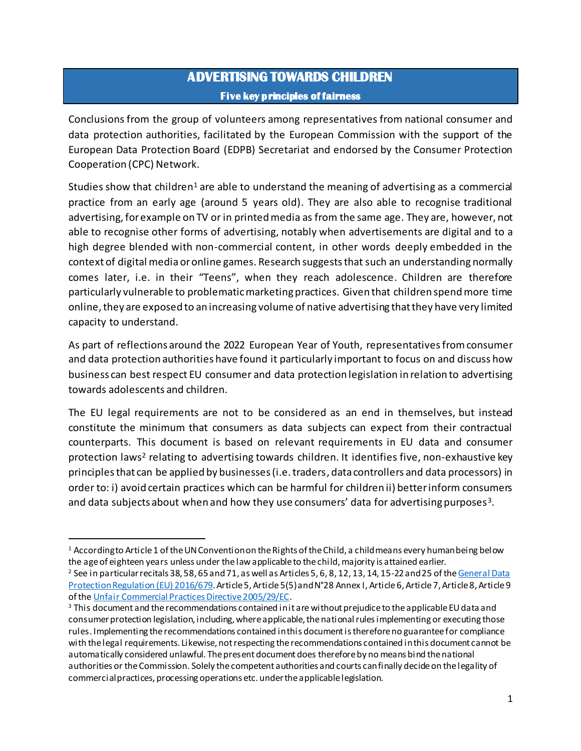## **ADVERTISING TOWARDS CHILDREN Five key principles of fairness**

Conclusions from the group of volunteers among representatives from national consumer and data protection authorities, facilitated by the European Commission with the support of the European Data Protection Board (EDPB) Secretariat and endorsed by the Consumer Protection Cooperation (CPC) Network.

Studies show that children<sup>1</sup> are able to understand the meaning of advertising as a commercial practice from an early age (around 5 years old). They are also able to recognise traditional advertising, for example on TV or in printed media as from the same age. They are, however, not able to recognise other forms of advertising, notably when advertisements are digital and to a high degree blended with non-commercial content, in other words deeply embedded in the context of digital media or online games. Research suggests that such an understanding normally comes later, i.e. in their "Teens", when they reach adolescence. Children are therefore particularly vulnerable to problematic marketing practices. Given that children spend more time online, they are exposed to an increasing volume of native advertising that they have very limited capacity to understand.

As part of reflections around the 2022 European Year of Youth, representatives from consumer and data protection authorities have found it particularly important to focus on and discuss how business can best respect EU consumer and data protection legislation in relation to advertising towards adolescents and children.

The EU legal requirements are not to be considered as an end in themselves, but instead constitute the minimum that consumers as data subjects can expect from their contractual counterparts. This document is based on relevant requirements in EU data and consumer protection laws<sup>2</sup> relating to advertising towards children. It identifies five, non-exhaustive key principles that can be applied by businesses (i.e. traders, data controllers and data processors) in order to: i) avoid certain practices which can be harmful for children ii) better inform consumers and data subjects about when and how they use consumers' data for advertising purposes<sup>3</sup>.

l

<sup>&</sup>lt;sup>1</sup> According to Article 1 of the UN Convention on the Rights of the Child, a child means every human being below the age of eighteen years unless under the law applicable to the child, majority is attained earlier. <sup>2</sup> See in particular recitals 38, 58, 65 and 71, as well as Articles 5, 6, 8, 12, 13, 14, 15-22 and 25 of the General Data [Protection Regulation \(EU\) 2016/679](https://eur-lex.europa.eu/legal-content/EN/TXT/HTML/?uri=CELEX:32016R0679&from=EN). Article 5, Article 5(5) and N°28 Annex I, Article 6, Article 7, Article 8, Article 9

of th[e Unfair Commercial Practices Directive 2005/29/EC](https://eur-lex.europa.eu/legal-content/EN/TXT/PDF/?uri=CELEX:32005L0029&from=EN).

<sup>&</sup>lt;sup>3</sup> This document and the recommendations contained in it are without prejudice to the applicable EU data and consumer protection legislation, including, where applicable, the national rules implementing or executing those rules. Implementing the recommendations contained in this document is therefore no guarantee for compliance with the legal requirements. Likewise, not respecting the recommendations contained in this document cannot be automatically considered unlawful. The present document does therefore by no means bind the national authorities or the Commission. Solely the competent authorities and courts can finally decide on the legality of commercial practices, processing operations etc. under the applicable legislation.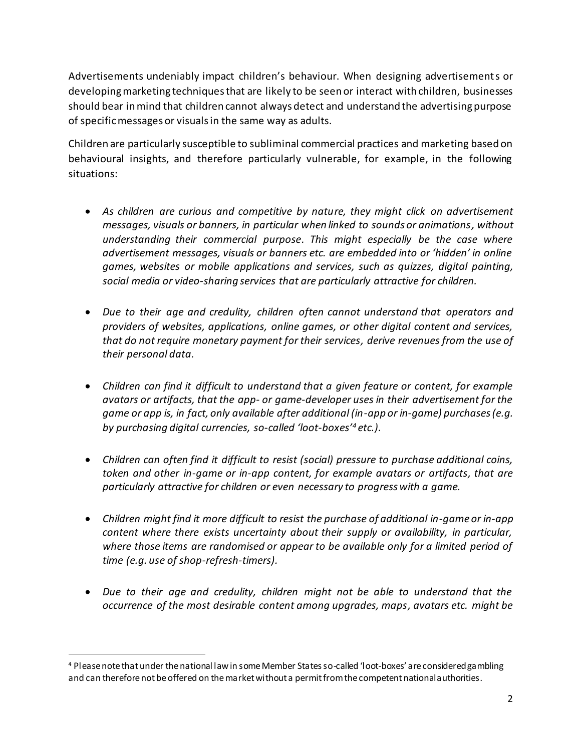Advertisements undeniably impact children's behaviour. When designing advertisements or developing marketing techniques that are likely to be seen or interact with children, businesses should bear in mind that children cannot always detect and understand the advertising purpose of specific messages or visuals in the same way as adults.

Children are particularly susceptible to subliminal commercial practices and marketing based on behavioural insights, and therefore particularly vulnerable, for example, in the following situations:

- *As children are curious and competitive by nature, they might click on advertisement messages, visuals or banners, in particular when linked to sounds or animations, without understanding their commercial purpose. This might especially be the case where advertisement messages, visuals or banners etc. are embedded into or 'hidden' in online games, websites or mobile applications and services, such as quizzes, digital painting, social media or video-sharing services that are particularly attractive for children.*
- *Due to their age and credulity, children often cannot understand that operators and providers of websites, applications, online games, or other digital content and services, that do not require monetary payment for their services, derive revenues from the use of their personal data.*
- *Children can find it difficult to understand that a given feature or content, for example avatars or artifacts, that the app- or game-developer uses in their advertisement for the game or app is, in fact, only available after additional (in-app or in-game) purchases (e.g. by purchasing digital currencies, so-called 'loot-boxes'<sup>4</sup> etc.).*
- *Children can often find it difficult to resist (social) pressure to purchase additional coins, token and other in-game or in-app content, for example avatars or artifacts, that are particularly attractive for children or even necessary to progress with a game.*
- *Children might find it more difficult to resist the purchase of additional in-game or in-app content where there exists uncertainty about their supply or availability, in particular, where those items are randomised or appear to be available only for a limited period of time (e.g. use of shop-refresh-timers).*
- *Due to their age and credulity, children might not be able to understand that the occurrence of the most desirable content among upgrades, maps, avatars etc. might be*

l

<sup>4</sup> Please note that under the national law in some Member States so-called 'loot-boxes' areconsidered gambling and can therefore not be offered on the market without a permit from the competent national authorities.